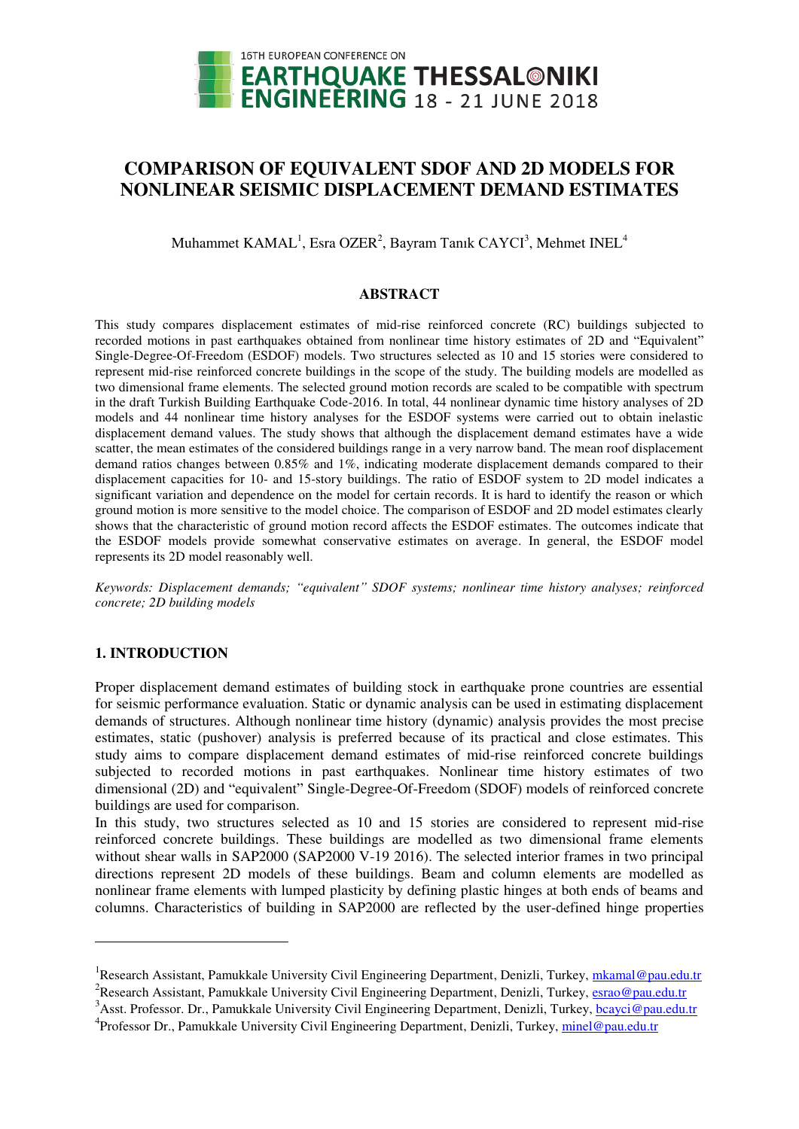

# **COMPARISON OF EQUIVALENT SDOF AND 2D MODELS FOR NONLINEAR SEISMIC DISPLACEMENT DEMAND ESTIMATES**

Muhammet  $\text{KAMAL}^1$ , Esra OZER<sup>2</sup>, Bayram Tanık CAYCI<sup>3</sup>, Mehmet INEL<sup>4</sup>

#### **ABSTRACT**

This study compares displacement estimates of mid-rise reinforced concrete (RC) buildings subjected to recorded motions in past earthquakes obtained from nonlinear time history estimates of 2D and "Equivalent" Single-Degree-Of-Freedom (ESDOF) models. Two structures selected as 10 and 15 stories were considered to represent mid-rise reinforced concrete buildings in the scope of the study. The building models are modelled as two dimensional frame elements. The selected ground motion records are scaled to be compatible with spectrum in the draft Turkish Building Earthquake Code-2016. In total, 44 nonlinear dynamic time history analyses of 2D models and 44 nonlinear time history analyses for the ESDOF systems were carried out to obtain inelastic displacement demand values. The study shows that although the displacement demand estimates have a wide scatter, the mean estimates of the considered buildings range in a very narrow band. The mean roof displacement demand ratios changes between 0.85% and 1%, indicating moderate displacement demands compared to their displacement capacities for 10- and 15-story buildings. The ratio of ESDOF system to 2D model indicates a significant variation and dependence on the model for certain records. It is hard to identify the reason or which ground motion is more sensitive to the model choice. The comparison of ESDOF and 2D model estimates clearly shows that the characteristic of ground motion record affects the ESDOF estimates. The outcomes indicate that the ESDOF models provide somewhat conservative estimates on average. In general, the ESDOF model represents its 2D model reasonably well.

*Keywords: Displacement demands; "equivalent" SDOF systems; nonlinear time history analyses; reinforced concrete; 2D building models* 

## **1. INTRODUCTION**

 $\ddot{\phantom{a}}$ 

Proper displacement demand estimates of building stock in earthquake prone countries are essential for seismic performance evaluation. Static or dynamic analysis can be used in estimating displacement demands of structures. Although nonlinear time history (dynamic) analysis provides the most precise estimates, static (pushover) analysis is preferred because of its practical and close estimates. This study aims to compare displacement demand estimates of mid-rise reinforced concrete buildings subjected to recorded motions in past earthquakes. Nonlinear time history estimates of two dimensional (2D) and "equivalent" Single-Degree-Of-Freedom (SDOF) models of reinforced concrete buildings are used for comparison.

In this study, two structures selected as 10 and 15 stories are considered to represent mid-rise reinforced concrete buildings. These buildings are modelled as two dimensional frame elements without shear walls in SAP2000 (SAP2000 V-19 2016). The selected interior frames in two principal directions represent 2D models of these buildings. Beam and column elements are modelled as nonlinear frame elements with lumped plasticity by defining plastic hinges at both ends of beams and columns. Characteristics of building in SAP2000 are reflected by the user-defined hinge properties

<sup>&</sup>lt;sup>1</sup> Research Assistant, Pamukkale University Civil Engineering Department, Denizli, Turkey, *mkamal@pau.edu.tr* 

<sup>&</sup>lt;sup>2</sup> Research Assistant, Pamukkale University Civil Engineering Department, Denizli, Turkey, *esrao@pau.edu.tr* 

<sup>&</sup>lt;sup>3</sup> Asst. Professor. Dr., Pamukkale University Civil Engineering Department, Denizli, Turkey, **bcayci@pau.edu.tr** 

<sup>&</sup>lt;sup>4</sup>Professor Dr., Pamukkale University Civil Engineering Department, Denizli, Turkey, *minel@pau.edu.tr*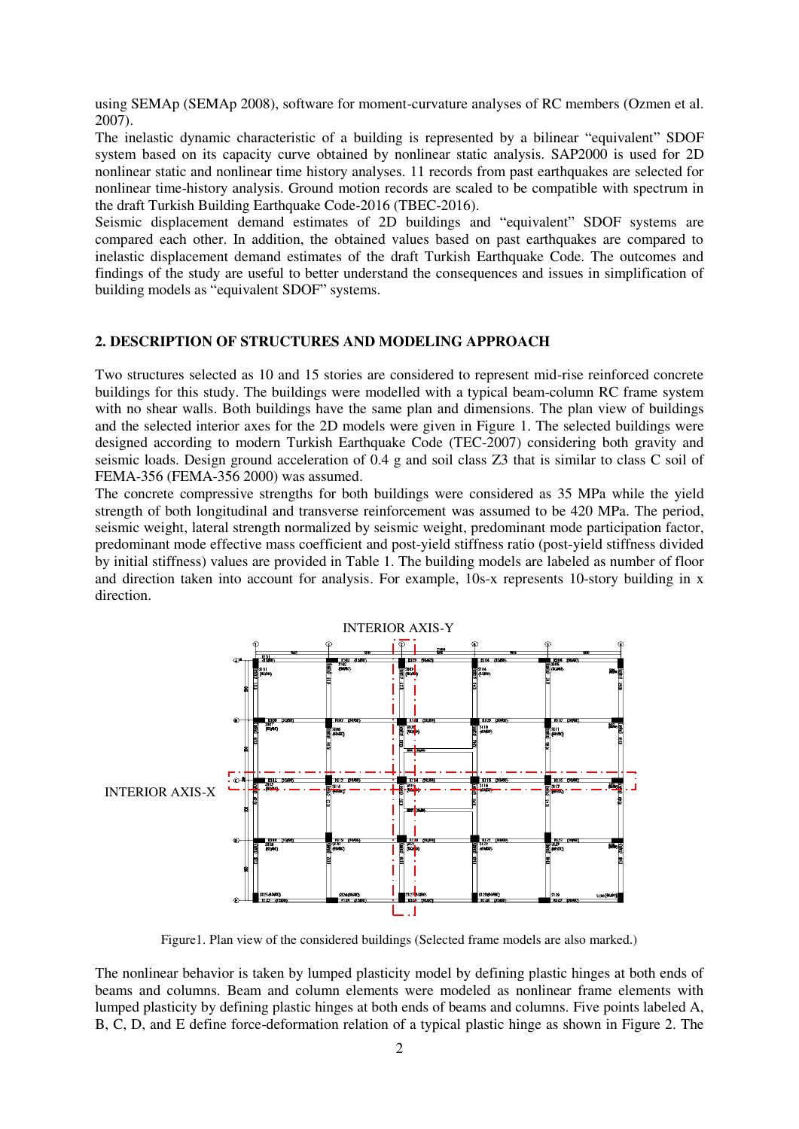using SEMAp (SEMAp 2008), software for moment-curvature analyses of RC members (Ozmen et al. 2007).

The inelastic dynamic characteristic of a building is represented by a bilinear "equivalent" SDOF system based on its capacity curve obtained by nonlinear static analysis. SAP2000 is used for 2D nonlinear static and nonlinear time history analyses. 11 records from past earthquakes are selected for nonlinear time-history analysis. Ground motion records are scaled to be compatible with spectrum in the draft Turkish Building Earthquake Code-2016 (TBEC-2016).

Seismic displacement demand estimates of 2D buildings and "equivalent" SDOF systems are compared each other. In addition, the obtained values based on past earthquakes are compared to inelastic displacement demand estimates of the draft Turkish Earthquake Code. The outcomes and findings of the study are useful to better understand the consequences and issues in simplification of building models as "equivalent SDOF" systems.

## **2. DESCRIPTION OF STRUCTURES AND MODELING APPROACH**

Two structures selected as 10 and 15 stories are considered to represent mid-rise reinforced concrete buildings for this study. The buildings were modelled with a typical beam-column RC frame system with no shear walls. Both buildings have the same plan and dimensions. The plan view of buildings and the selected interior axes for the 2D models were given in Figure 1. The selected buildings were designed according to modern Turkish Earthquake Code (TEC-2007) considering both gravity and seismic loads. Design ground acceleration of 0.4 g and soil class Z3 that is similar to class C soil of FEMA-356 (FEMA-356 2000) was assumed.

The concrete compressive strengths for both buildings were considered as 35 MPa while the yield strength of both longitudinal and transverse reinforcement was assumed to be 420 MPa. The period, seismic weight, lateral strength normalized by seismic weight, predominant mode participation factor, predominant mode effective mass coefficient and post-yield stiffness ratio (post-yield stiffness divided by initial stiffness) values are provided in Table 1. The building models are labeled as number of floor and direction taken into account for analysis. For example, 10s-x represents 10-story building in x direction.



Figure1. Plan view of the considered buildings (Selected frame models are also marked.)

The nonlinear behavior is taken by lumped plasticity model by defining plastic hinges at both ends of beams and columns. Beam and column elements were modeled as nonlinear frame elements with lumped plasticity by defining plastic hinges at both ends of beams and columns. Five points labeled A, B, C, D, and E define force-deformation relation of a typical plastic hinge as shown in Figure 2. The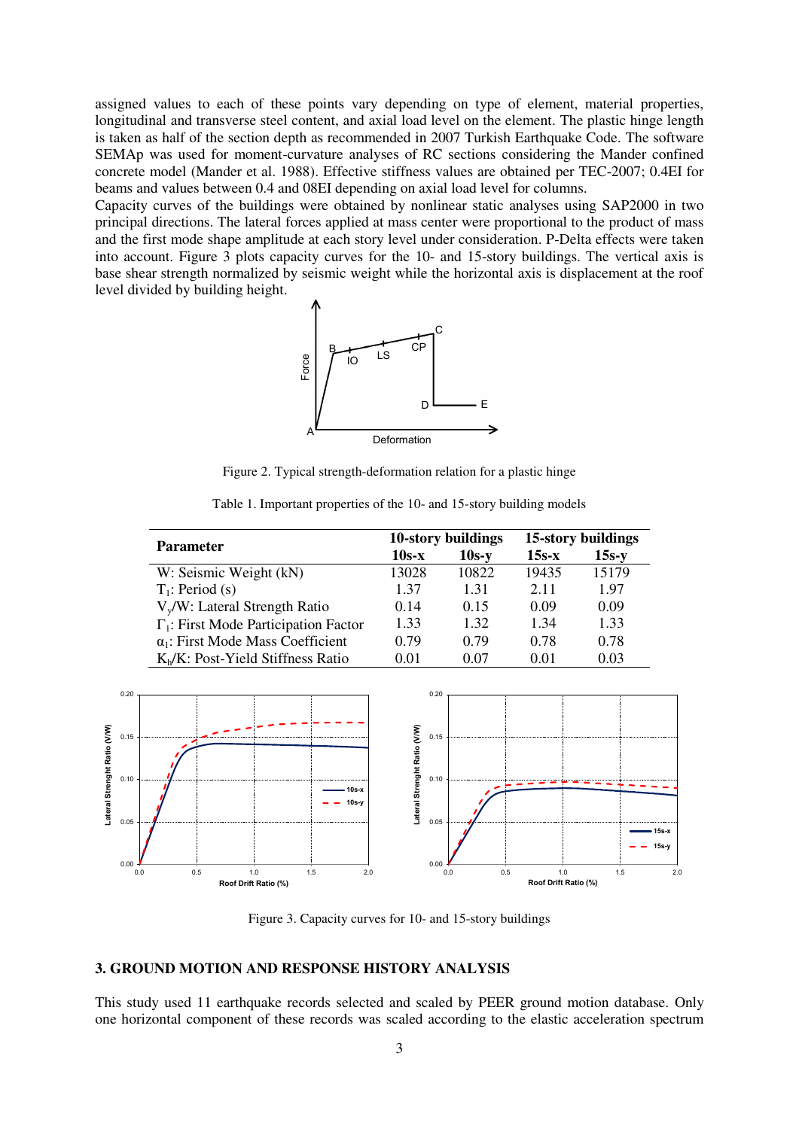assigned values to each of these points vary depending on type of element, material properties, longitudinal and transverse steel content, and axial load level on the element. The plastic hinge length is taken as half of the section depth as recommended in 2007 Turkish Earthquake Code. The software SEMAp was used for moment-curvature analyses of RC sections considering the Mander confined concrete model (Mander et al. 1988). Effective stiffness values are obtained per TEC-2007; 0.4EI for beams and values between 0.4 and 08EI depending on axial load level for columns.

Capacity curves of the buildings were obtained by nonlinear static analyses using SAP2000 in two principal directions. The lateral forces applied at mass center were proportional to the product of mass and the first mode shape amplitude at each story level under consideration. P-Delta effects were taken into account. Figure 3 plots capacity curves for the 10- and 15-story buildings. The vertical axis is base shear strength normalized by seismic weight while the horizontal axis is displacement at the roof level divided by building height.



Figure 2. Typical strength-deformation relation for a plastic hinge

Table 1. Important properties of the 10- and 15-story building models

|                                              |         | 10-story buildings | 15-story buildings |         |  |
|----------------------------------------------|---------|--------------------|--------------------|---------|--|
| <b>Parameter</b>                             | $10s-x$ | $10s-y$            | $15s-x$            | $15s-y$ |  |
| W: Seismic Weight (kN)                       | 13028   | 10822              | 19435              | 15179   |  |
| $T_1$ : Period (s)                           | 1.37    | 131                | 2.11               | 1.97    |  |
| $V_v/W$ : Lateral Strength Ratio             | 0.14    | 0.15               | 0.09               | 0.09    |  |
| $\Gamma_1$ : First Mode Participation Factor | 1.33    | 1.32               | 1 34               | 1.33    |  |
| $\alpha_1$ : First Mode Mass Coefficient     | 0.79    | 0.79               | 0.78               | 0.78    |  |
| $K_b/K$ : Post-Yield Stiffness Ratio         | 0.01    | 0.07               | 0.01               | 0.03    |  |



Figure 3. Capacity curves for 10- and 15-story buildings

## **3. GROUND MOTION AND RESPONSE HISTORY ANALYSIS**

This study used 11 earthquake records selected and scaled by PEER ground motion database. Only one horizontal component of these records was scaled according to the elastic acceleration spectrum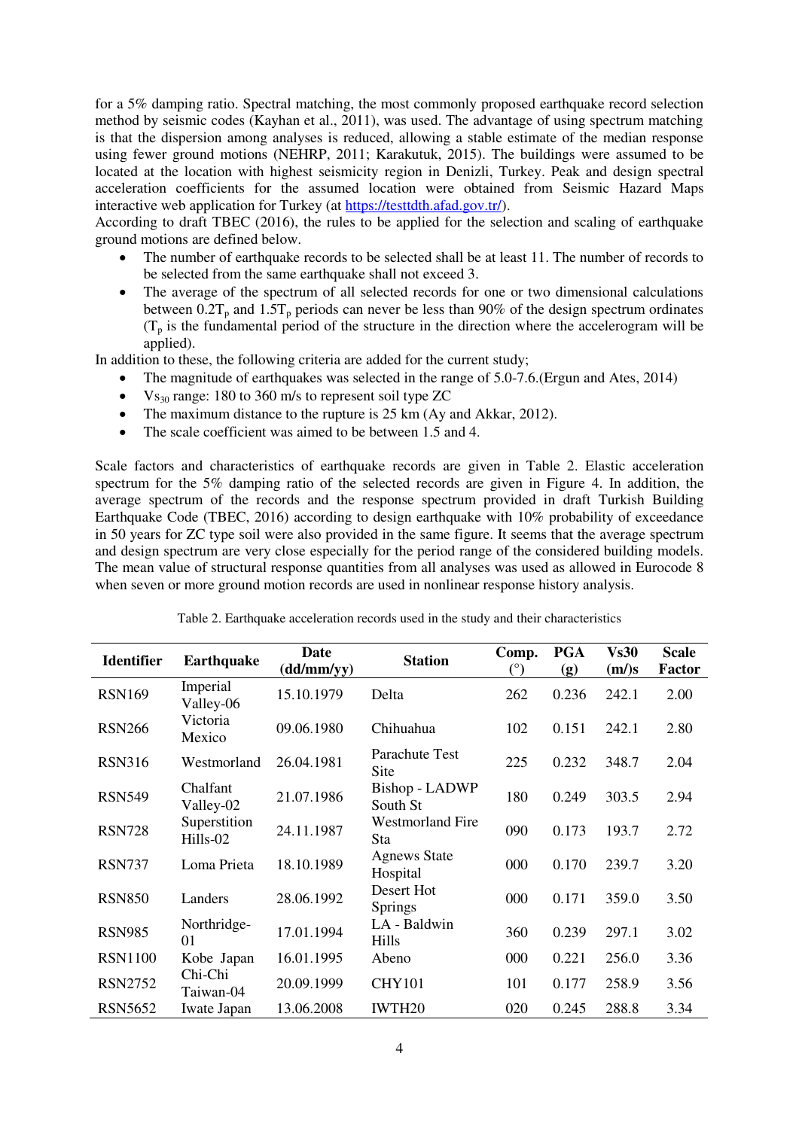for a 5% damping ratio. Spectral matching, the most commonly proposed earthquake record selection method by seismic codes (Kayhan et al., 2011), was used. The advantage of using spectrum matching is that the dispersion among analyses is reduced, allowing a stable estimate of the median response using fewer ground motions (NEHRP, 2011; Karakutuk, 2015). The buildings were assumed to be located at the location with highest seismicity region in Denizli, Turkey. Peak and design spectral acceleration coefficients for the assumed location were obtained from Seismic Hazard Maps interactive web application for Turkey (at [https://testtdth.afad.gov.tr/\)](https://testtdth.afad.gov.tr/).

According to draft TBEC (2016), the rules to be applied for the selection and scaling of earthquake ground motions are defined below.

- The number of earthquake records to be selected shall be at least 11. The number of records to be selected from the same earthquake shall not exceed 3.
- The average of the spectrum of all selected records for one or two dimensional calculations between  $0.2T_p$  and  $1.5T_p$  periods can never be less than 90% of the design spectrum ordinates  $(T_p)$  is the fundamental period of the structure in the direction where the accelerogram will be applied).

In addition to these, the following criteria are added for the current study;

- The magnitude of earthquakes was selected in the range of 5.0-7.6. (Ergun and Ates, 2014)
- $V_{s_{30}}$  range: 180 to 360 m/s to represent soil type ZC
- The maximum distance to the rupture is 25 km (Ay and Akkar, 2012).
- The scale coefficient was aimed to be between 1.5 and 4.

Scale factors and characteristics of earthquake records are given in Table 2. Elastic acceleration spectrum for the 5% damping ratio of the selected records are given in Figure 4. In addition, the average spectrum of the records and the response spectrum provided in draft Turkish Building Earthquake Code (TBEC, 2016) according to design earthquake with 10% probability of exceedance in 50 years for ZC type soil were also provided in the same figure. It seems that the average spectrum and design spectrum are very close especially for the period range of the considered building models. The mean value of structural response quantities from all analyses was used as allowed in Eurocode 8 when seven or more ground motion records are used in nonlinear response history analysis.

| <b>Identifier</b> | <b>Earthquake</b>        | Date<br>(dd/mm/yy) | <b>Station</b>                  | Comp.<br>$(^\circ)$ | <b>PGA</b><br>(g) | <b>Vs30</b><br>(m/s) | <b>Scale</b><br><b>Factor</b> |
|-------------------|--------------------------|--------------------|---------------------------------|---------------------|-------------------|----------------------|-------------------------------|
| <b>RSN169</b>     | Imperial<br>Valley-06    | 15.10.1979         | Delta                           | 262                 | 0.236             | 242.1                | 2.00                          |
| <b>RSN266</b>     | Victoria<br>Mexico       | 09.06.1980         | Chihuahua                       | 102                 | 0.151             | 242.1                | 2.80                          |
| <b>RSN316</b>     | Westmorland              | 26.04.1981         | Parachute Test<br>Site          | 225                 | 0.232             | 348.7                | 2.04                          |
| <b>RSN549</b>     | Chalfant<br>Valley-02    | 21.07.1986         | Bishop - LADWP<br>South St      | 180                 | 0.249             | 303.5                | 2.94                          |
| <b>RSN728</b>     | Superstition<br>Hills-02 | 24.11.1987         | <b>Westmorland Fire</b><br>Sta  | 090                 | 0.173             | 193.7                | 2.72                          |
| <b>RSN737</b>     | Loma Prieta              | 18.10.1989         | <b>Agnews State</b><br>Hospital | 000                 | 0.170             | 239.7                | 3.20                          |
| <b>RSN850</b>     | Landers                  | 28.06.1992         | Desert Hot<br>Springs           | 000                 | 0.171             | 359.0                | 3.50                          |
| <b>RSN985</b>     | Northridge-<br>01        | 17.01.1994         | LA - Baldwin<br>Hills           | 360                 | 0.239             | 297.1                | 3.02                          |
| <b>RSN1100</b>    | Kobe Japan               | 16.01.1995         | Abeno                           | 000                 | 0.221             | 256.0                | 3.36                          |
| <b>RSN2752</b>    | Chi-Chi<br>Taiwan-04     | 20.09.1999         | <b>CHY101</b>                   | 101                 | 0.177             | 258.9                | 3.56                          |
| <b>RSN5652</b>    | Iwate Japan              | 13.06.2008         | IWTH20                          | 020                 | 0.245             | 288.8                | 3.34                          |

Table 2. Earthquake acceleration records used in the study and their characteristics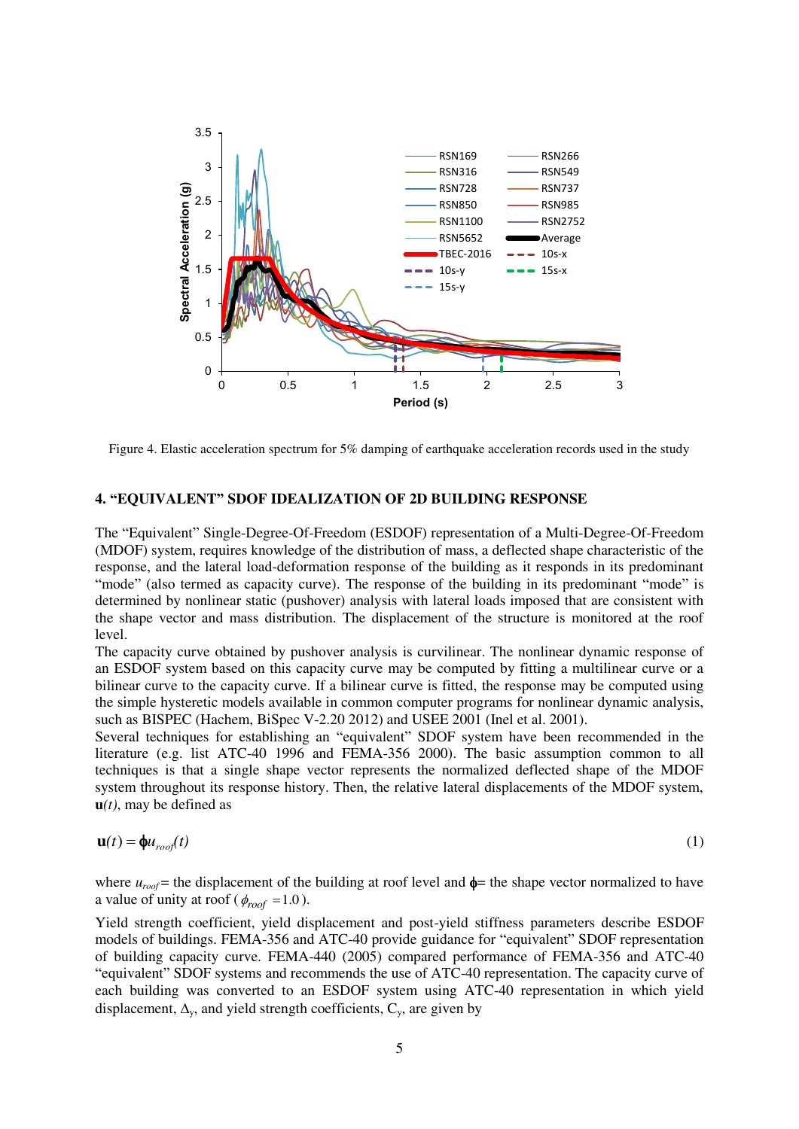

Figure 4. Elastic acceleration spectrum for 5% damping of earthquake acceleration records used in the study

## **4. "EQUIVALENT" SDOF IDEALIZATION OF 2D BUILDING RESPONSE**

The "Equivalent" Single-Degree-Of-Freedom (ESDOF) representation of a Multi-Degree-Of-Freedom (MDOF) system, requires knowledge of the distribution of mass, a deflected shape characteristic of the response, and the lateral load-deformation response of the building as it responds in its predominant "mode" (also termed as capacity curve). The response of the building in its predominant "mode" is determined by nonlinear static (pushover) analysis with lateral loads imposed that are consistent with the shape vector and mass distribution. The displacement of the structure is monitored at the roof level.

The capacity curve obtained by pushover analysis is curvilinear. The nonlinear dynamic response of an ESDOF system based on this capacity curve may be computed by fitting a multilinear curve or a bilinear curve to the capacity curve. If a bilinear curve is fitted, the response may be computed using the simple hysteretic models available in common computer programs for nonlinear dynamic analysis, such as BISPEC (Hachem, BiSpec V-2.20 2012) and USEE 2001 (Inel et al. 2001).

Several techniques for establishing an "equivalent" SDOF system have been recommended in the literature (e.g. list ATC-40 1996 and FEMA-356 2000). The basic assumption common to all techniques is that a single shape vector represents the normalized deflected shape of the MDOF system throughout its response history. Then, the relative lateral displacements of the MDOF system,  $u(t)$ , may be defined as

$$
\mathbf{u}(t) = \mathbf{\phi} u_{\text{roof}}(t) \tag{1}
$$

where  $u_{\text{root}}$  = the displacement of the building at roof level and  $\phi$  = the shape vector normalized to have a value of unity at roof ( $\phi_{\text{roof}} = 1.0$ ).

Yield strength coefficient, yield displacement and post-yield stiffness parameters describe ESDOF models of buildings. FEMA-356 and ATC-40 provide guidance for "equivalent" SDOF representation of building capacity curve. FEMA-440 (2005) compared performance of FEMA-356 and ATC-40 "equivalent" SDOF systems and recommends the use of ATC-40 representation. The capacity curve of each building was converted to an ESDOF system using ATC-40 representation in which yield displacement,  $\Delta_{v}$ , and yield strength coefficients,  $C_{v}$ , are given by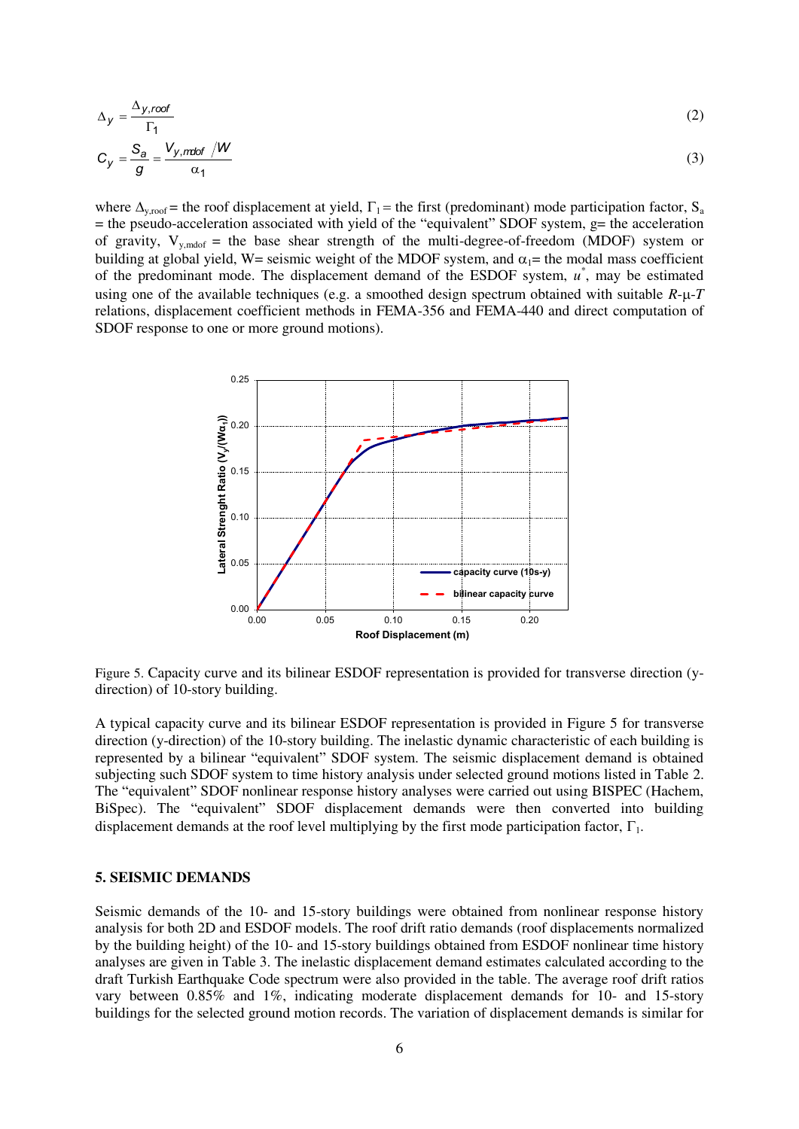$$
\Delta_{y} = \frac{\Delta_{y, root}}{\Gamma_{1}}
$$
\n
$$
C_{y} = \frac{S_{a}}{g} = \frac{V_{y, mid} / W}{\alpha_{1}}
$$
\n(2)

where  $\Delta_{y,root}$  = the roof displacement at yield,  $\Gamma_1$  = the first (predominant) mode participation factor, S<sub>a</sub>  $=$  the pseudo-acceleration associated with yield of the "equivalent" SDOF system, g= the acceleration of gravity,  $V_{y,\text{modof}} =$  the base shear strength of the multi-degree-of-freedom (MDOF) system or building at global yield, W= seismic weight of the MDOF system, and  $\alpha_1$ = the modal mass coefficient of the predominant mode. The displacement demand of the ESDOF system,  $u^*$ , may be estimated using one of the available techniques (e.g. a smoothed design spectrum obtained with suitable  $R$ - $\mu$ - $T$ relations, displacement coefficient methods in FEMA-356 and FEMA-440 and direct computation of SDOF response to one or more ground motions).



Figure 5. Capacity curve and its bilinear ESDOF representation is provided for transverse direction (ydirection) of 10-story building.

A typical capacity curve and its bilinear ESDOF representation is provided in Figure 5 for transverse direction (y-direction) of the 10-story building. The inelastic dynamic characteristic of each building is represented by a bilinear "equivalent" SDOF system. The seismic displacement demand is obtained subjecting such SDOF system to time history analysis under selected ground motions listed in Table 2. The "equivalent" SDOF nonlinear response history analyses were carried out using BISPEC (Hachem, BiSpec). The "equivalent" SDOF displacement demands were then converted into building displacement demands at the roof level multiplying by the first mode participation factor,  $\Gamma_1$ .

## **5. SEISMIC DEMANDS**

Seismic demands of the 10- and 15-story buildings were obtained from nonlinear response history analysis for both 2D and ESDOF models. The roof drift ratio demands (roof displacements normalized by the building height) of the 10- and 15-story buildings obtained from ESDOF nonlinear time history analyses are given in Table 3. The inelastic displacement demand estimates calculated according to the draft Turkish Earthquake Code spectrum were also provided in the table. The average roof drift ratios vary between 0.85% and 1%, indicating moderate displacement demands for 10- and 15-story buildings for the selected ground motion records. The variation of displacement demands is similar for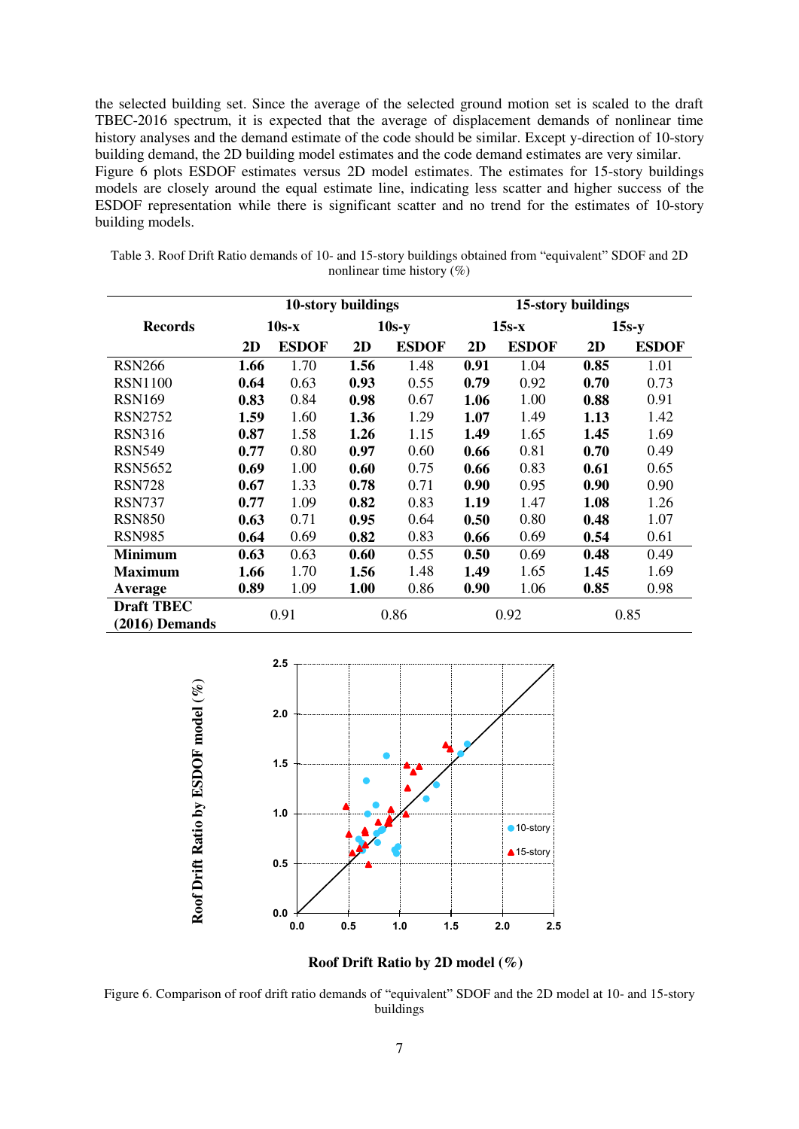the selected building set. Since the average of the selected ground motion set is scaled to the draft TBEC-2016 spectrum, it is expected that the average of displacement demands of nonlinear time history analyses and the demand estimate of the code should be similar. Except y-direction of 10-story building demand, the 2D building model estimates and the code demand estimates are very similar. Figure 6 plots ESDOF estimates versus 2D model estimates. The estimates for 15-story buildings models are closely around the equal estimate line, indicating less scatter and higher success of the ESDOF representation while there is significant scatter and no trend for the estimates of 10-story building models.

| Table 3. Roof Drift Ratio demands of 10- and 15-story buildings obtained from "equivalent" SDOF and 2D |                                |  |  |
|--------------------------------------------------------------------------------------------------------|--------------------------------|--|--|
|                                                                                                        | nonlinear time history $(\% )$ |  |  |

|                   | 10-story buildings |              |         | 15-story buildings |         |              |         |              |
|-------------------|--------------------|--------------|---------|--------------------|---------|--------------|---------|--------------|
| <b>Records</b>    | $10s-x$            |              | $10s-y$ |                    | $15s-x$ |              | $15s-y$ |              |
|                   | 2D                 | <b>ESDOF</b> | 2D      | <b>ESDOF</b>       | 2D      | <b>ESDOF</b> | 2D      | <b>ESDOF</b> |
| <b>RSN266</b>     | 1.66               | 1.70         | 1.56    | 1.48               | 0.91    | 1.04         | 0.85    | 1.01         |
| <b>RSN1100</b>    | 0.64               | 0.63         | 0.93    | 0.55               | 0.79    | 0.92         | 0.70    | 0.73         |
| <b>RSN169</b>     | 0.83               | 0.84         | 0.98    | 0.67               | 1.06    | 1.00         | 0.88    | 0.91         |
| <b>RSN2752</b>    | 1.59               | 1.60         | 1.36    | 1.29               | 1.07    | 1.49         | 1.13    | 1.42         |
| <b>RSN316</b>     | 0.87               | 1.58         | 1.26    | 1.15               | 1.49    | 1.65         | 1.45    | 1.69         |
| <b>RSN549</b>     | 0.77               | 0.80         | 0.97    | 0.60               | 0.66    | 0.81         | 0.70    | 0.49         |
| <b>RSN5652</b>    | 0.69               | 1.00         | 0.60    | 0.75               | 0.66    | 0.83         | 0.61    | 0.65         |
| <b>RSN728</b>     | 0.67               | 1.33         | 0.78    | 0.71               | 0.90    | 0.95         | 0.90    | 0.90         |
| <b>RSN737</b>     | 0.77               | 1.09         | 0.82    | 0.83               | 1.19    | 1.47         | 1.08    | 1.26         |
| <b>RSN850</b>     | 0.63               | 0.71         | 0.95    | 0.64               | 0.50    | 0.80         | 0.48    | 1.07         |
| <b>RSN985</b>     | 0.64               | 0.69         | 0.82    | 0.83               | 0.66    | 0.69         | 0.54    | 0.61         |
| <b>Minimum</b>    | 0.63               | 0.63         | 0.60    | 0.55               | 0.50    | 0.69         | 0.48    | 0.49         |
| <b>Maximum</b>    | 1.66               | 1.70         | 1.56    | 1.48               | 1.49    | 1.65         | 1.45    | 1.69         |
| Average           | 0.89               | 1.09         | 1.00    | 0.86               | 0.90    | 1.06         | 0.85    | 0.98         |
| <b>Draft TBEC</b> | 0.91               |              |         | 0.86               |         | 0.92         |         | 0.85         |
| $(2016)$ Demands  |                    |              |         |                    |         |              |         |              |



**Roof Drift Ratio by 2D model (%)**

Figure 6. Comparison of roof drift ratio demands of "equivalent" SDOF and the 2D model at 10- and 15-story buildings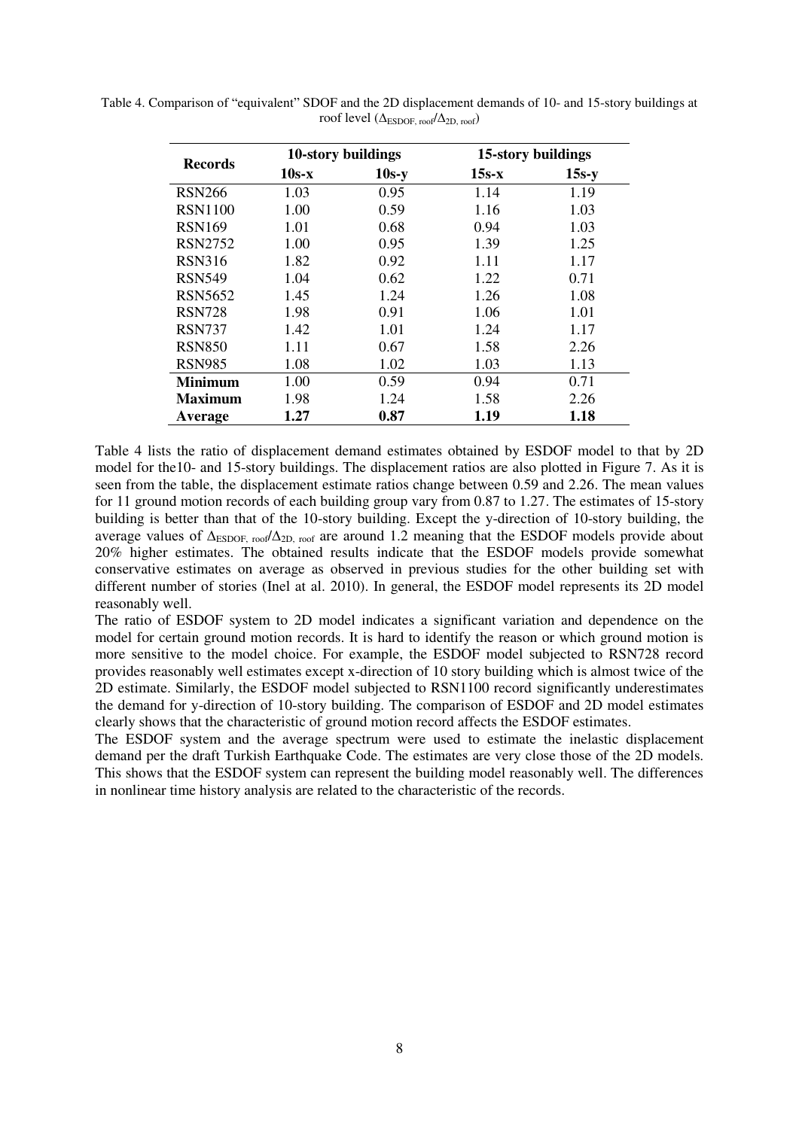| Records        |         | 10-story buildings | 15-story buildings |         |  |
|----------------|---------|--------------------|--------------------|---------|--|
|                | $10s-x$ | $10s-y$            | $15s-x$            | $15s-y$ |  |
| <b>RSN266</b>  | 1.03    | 0.95               | 1.14               | 1.19    |  |
| <b>RSN1100</b> | 1.00    | 0.59               | 1.16               | 1.03    |  |
| <b>RSN169</b>  | 1.01    | 0.68               | 0.94               | 1.03    |  |
| <b>RSN2752</b> | 1.00    | 0.95               | 1.39               | 1.25    |  |
| <b>RSN316</b>  | 1.82    | 0.92               | 1.11               | 1.17    |  |
| <b>RSN549</b>  | 1.04    | 0.62               | 1.22               | 0.71    |  |
| RSN5652        | 1.45    | 1.24               | 1.26               | 1.08    |  |
| <b>RSN728</b>  | 1.98    | 0.91               | 1.06               | 1.01    |  |
| <b>RSN737</b>  | 1.42    | 1.01               | 1.24               | 1.17    |  |
| <b>RSN850</b>  | 1.11    | 0.67               | 1.58               | 2.26    |  |
| <b>RSN985</b>  | 1.08    | 1.02               | 1.03               | 1.13    |  |
| Minimum        | 1.00    | 0.59               | 0.94               | 0.71    |  |
| <b>Maximum</b> | 1.98    | 1.24               | 1.58               | 2.26    |  |
| Average        | 1.27    | 0.87               | 1.19               | 1.18    |  |

Table 4. Comparison of "equivalent" SDOF and the 2D displacement demands of 10- and 15-story buildings at roof level ( $\Delta_{ESDOF, roof}/\Delta_{2D, roof}$ )

Table 4 lists the ratio of displacement demand estimates obtained by ESDOF model to that by 2D model for the10- and 15-story buildings. The displacement ratios are also plotted in Figure 7. As it is seen from the table, the displacement estimate ratios change between 0.59 and 2.26. The mean values for 11 ground motion records of each building group vary from 0.87 to 1.27. The estimates of 15-story building is better than that of the 10-story building. Except the y-direction of 10-story building, the average values of ∆ESDOF, roof/∆2D, roof are around 1.2 meaning that the ESDOF models provide about 20% higher estimates. The obtained results indicate that the ESDOF models provide somewhat conservative estimates on average as observed in previous studies for the other building set with different number of stories (Inel at al. 2010). In general, the ESDOF model represents its 2D model reasonably well.

The ratio of ESDOF system to 2D model indicates a significant variation and dependence on the model for certain ground motion records. It is hard to identify the reason or which ground motion is more sensitive to the model choice. For example, the ESDOF model subjected to RSN728 record provides reasonably well estimates except x-direction of 10 story building which is almost twice of the 2D estimate. Similarly, the ESDOF model subjected to RSN1100 record significantly underestimates the demand for y-direction of 10-story building. The comparison of ESDOF and 2D model estimates clearly shows that the characteristic of ground motion record affects the ESDOF estimates.

The ESDOF system and the average spectrum were used to estimate the inelastic displacement demand per the draft Turkish Earthquake Code. The estimates are very close those of the 2D models. This shows that the ESDOF system can represent the building model reasonably well. The differences in nonlinear time history analysis are related to the characteristic of the records.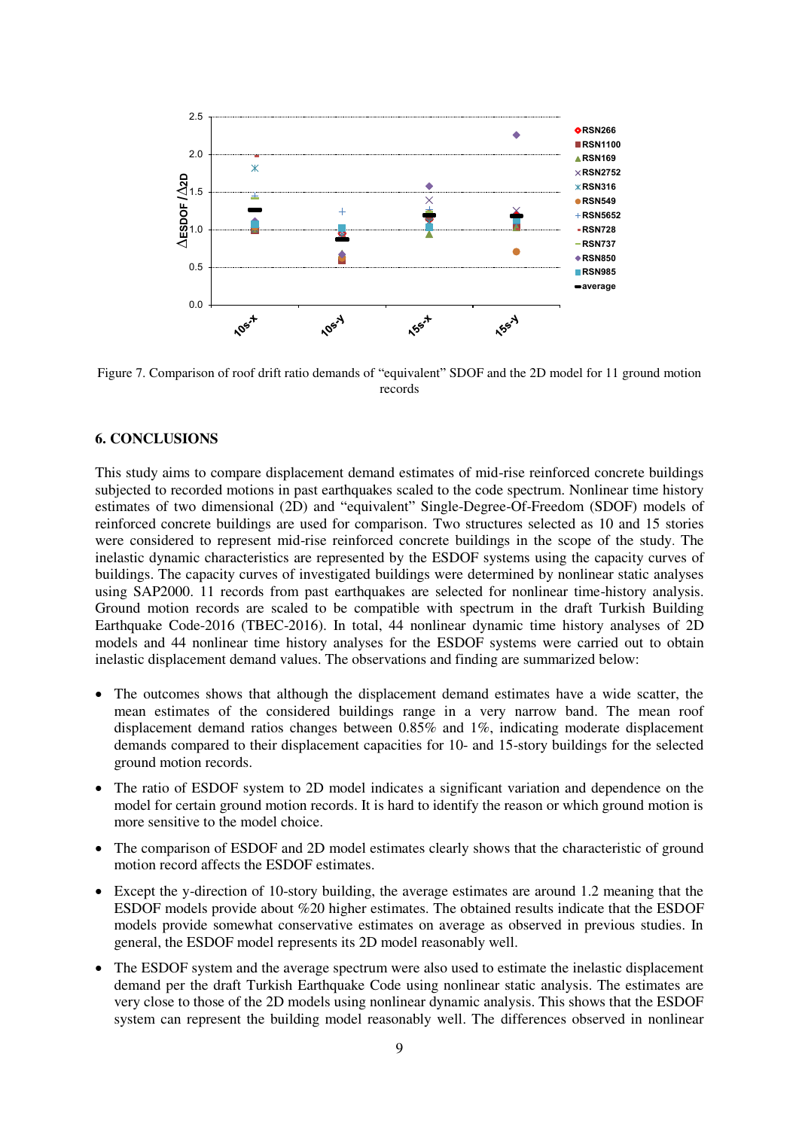

Figure 7. Comparison of roof drift ratio demands of "equivalent" SDOF and the 2D model for 11 ground motion records

#### **6. CONCLUSIONS**

This study aims to compare displacement demand estimates of mid-rise reinforced concrete buildings subjected to recorded motions in past earthquakes scaled to the code spectrum. Nonlinear time history estimates of two dimensional (2D) and "equivalent" Single-Degree-Of-Freedom (SDOF) models of reinforced concrete buildings are used for comparison. Two structures selected as 10 and 15 stories were considered to represent mid-rise reinforced concrete buildings in the scope of the study. The inelastic dynamic characteristics are represented by the ESDOF systems using the capacity curves of buildings. The capacity curves of investigated buildings were determined by nonlinear static analyses using SAP2000. 11 records from past earthquakes are selected for nonlinear time-history analysis. Ground motion records are scaled to be compatible with spectrum in the draft Turkish Building Earthquake Code-2016 (TBEC-2016). In total, 44 nonlinear dynamic time history analyses of 2D models and 44 nonlinear time history analyses for the ESDOF systems were carried out to obtain inelastic displacement demand values. The observations and finding are summarized below:

- The outcomes shows that although the displacement demand estimates have a wide scatter, the mean estimates of the considered buildings range in a very narrow band. The mean roof displacement demand ratios changes between 0.85% and 1%, indicating moderate displacement demands compared to their displacement capacities for 10- and 15-story buildings for the selected ground motion records.
- The ratio of ESDOF system to 2D model indicates a significant variation and dependence on the model for certain ground motion records. It is hard to identify the reason or which ground motion is more sensitive to the model choice.
- The comparison of ESDOF and 2D model estimates clearly shows that the characteristic of ground motion record affects the ESDOF estimates.
- Except the y-direction of 10-story building, the average estimates are around 1.2 meaning that the ESDOF models provide about %20 higher estimates. The obtained results indicate that the ESDOF models provide somewhat conservative estimates on average as observed in previous studies. In general, the ESDOF model represents its 2D model reasonably well.
- The ESDOF system and the average spectrum were also used to estimate the inelastic displacement demand per the draft Turkish Earthquake Code using nonlinear static analysis. The estimates are very close to those of the 2D models using nonlinear dynamic analysis. This shows that the ESDOF system can represent the building model reasonably well. The differences observed in nonlinear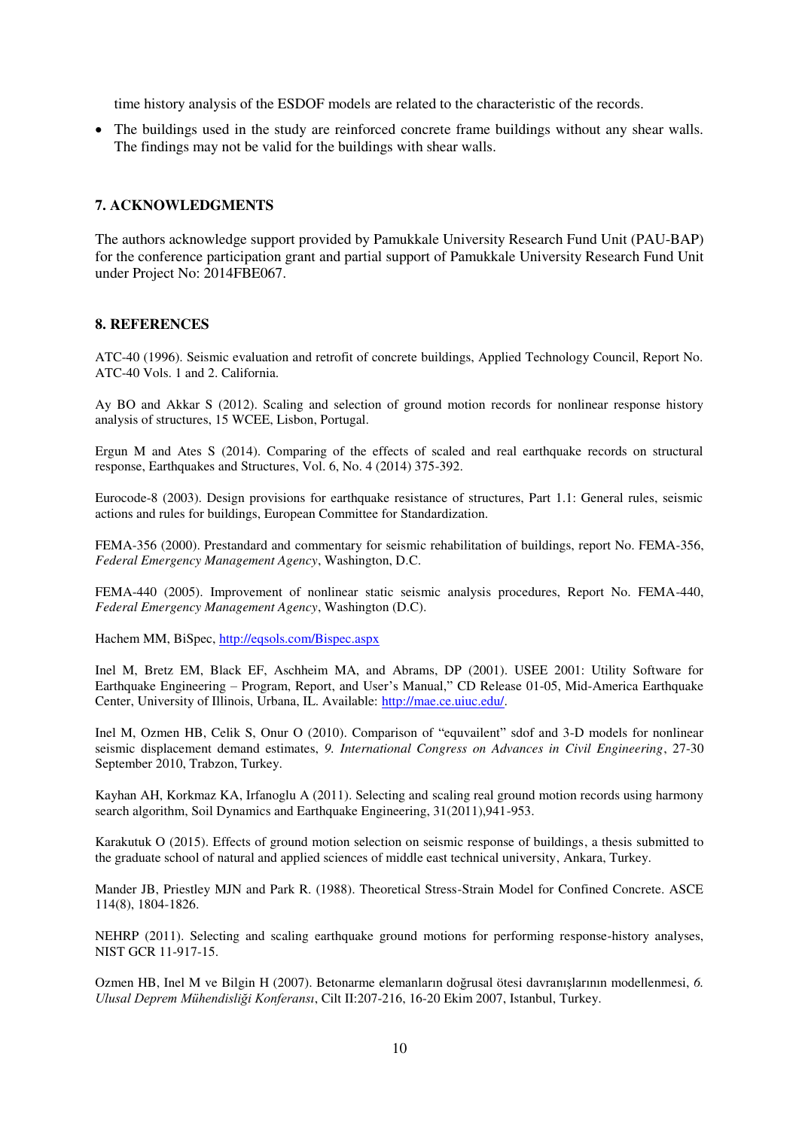time history analysis of the ESDOF models are related to the characteristic of the records.

 The buildings used in the study are reinforced concrete frame buildings without any shear walls. The findings may not be valid for the buildings with shear walls.

#### **7. ACKNOWLEDGMENTS**

The authors acknowledge support provided by Pamukkale University Research Fund Unit (PAU-BAP) for the conference participation grant and partial support of Pamukkale University Research Fund Unit under Project No: 2014FBE067.

#### **8. REFERENCES**

ATC-40 (1996). Seismic evaluation and retrofit of concrete buildings, Applied Technology Council, Report No. ATC-40 Vols. 1 and 2. California.

Ay BO and Akkar S (2012). Scaling and selection of ground motion records for nonlinear response history analysis of structures, 15 WCEE, Lisbon, Portugal.

Ergun M and Ates S (2014). Comparing of the effects of scaled and real earthquake records on structural response, Earthquakes and Structures, Vol. 6, No. 4 (2014) 375-392.

Eurocode-8 (2003). Design provisions for earthquake resistance of structures, Part 1.1: General rules, seismic actions and rules for buildings, European Committee for Standardization.

FEMA-356 (2000). Prestandard and commentary for seismic rehabilitation of buildings, report No. FEMA-356, *Federal Emergency Management Agency*, Washington, D.C.

FEMA-440 (2005). Improvement of nonlinear static seismic analysis procedures, Report No. FEMA-440, *Federal Emergency Management Agency*, Washington (D.C).

Hachem MM, BiSpec,<http://eqsols.com/Bispec.aspx>

Inel M, Bretz EM, Black EF, Aschheim MA, and Abrams, DP (2001). USEE 2001: Utility Software for Earthquake Engineering – Program, Report, and User's Manual," CD Release 01-05, Mid-America Earthquake Center, University of Illinois, Urbana, IL. Available: [http://mae.ce.uiuc.edu/.](http://mae.ce.uiuc.edu/)

Inel M, Ozmen HB, Celik S, Onur O (2010). Comparison of "equvailent" sdof and 3-D models for nonlinear seismic displacement demand estimates, *9. International Congress on Advances in Civil Engineering*, 27-30 September 2010, Trabzon, Turkey.

Kayhan AH, Korkmaz KA, Irfanoglu A (2011). Selecting and scaling real ground motion records using harmony search algorithm, Soil Dynamics and Earthquake Engineering, 31(2011),941-953.

Karakutuk O (2015). Effects of ground motion selection on seismic response of buildings, a thesis submitted to the graduate school of natural and applied sciences of middle east technical university, Ankara, Turkey.

Mander JB, Priestley MJN and Park R. (1988). Theoretical Stress-Strain Model for Confined Concrete. ASCE 114(8), 1804-1826.

NEHRP (2011). Selecting and scaling earthquake ground motions for performing response-history analyses, NIST GCR 11-917-15.

Ozmen HB, Inel M ve Bilgin H (2007). Betonarme elemanların doğrusal ötesi davranışlarının modellenmesi, *6. Ulusal Deprem Mühendisliği Konferansı*, Cilt II:207-216, 16-20 Ekim 2007, Istanbul, Turkey.